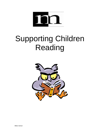

# Supporting Children Reading

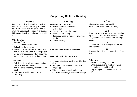## **Supporting Children Reading**

| <b>Before</b>                                                                                                                                                                                                                                                                                                                                                                                                                                                                                                    | <b>During</b>                                                                                                                                                                                                                                                                             | <b>After</b>                                                                                                                                                                                                                                                                                                                                                                          |
|------------------------------------------------------------------------------------------------------------------------------------------------------------------------------------------------------------------------------------------------------------------------------------------------------------------------------------------------------------------------------------------------------------------------------------------------------------------------------------------------------------------|-------------------------------------------------------------------------------------------------------------------------------------------------------------------------------------------------------------------------------------------------------------------------------------------|---------------------------------------------------------------------------------------------------------------------------------------------------------------------------------------------------------------------------------------------------------------------------------------------------------------------------------------------------------------------------------------|
| If possible, look at the book yourself so<br>you are familiar with the story or theme<br>before you use it with the child. Look for<br>anything about the book that might cause<br>difficulty and think about how to help with<br>it.<br>With the child<br>Unfamiliar book<br>• discuss the story or theme<br>• Talk about the pictures<br>• Mention the names of the characters<br>• Ask them to find a few of the important<br>words after discussing what letter they<br>would expect to see at the beginning | <b>Observe and check for:</b><br>• Pointing at the words (when<br>appropriate)<br>• Phrasing and speed of reading<br>• Accuracy of reading<br>Strategies used to work out unfamiliar<br>words<br>• Self correcting<br>Give praise at frequent intervals<br>Give help with difficult words | Give praise based on specific<br>observations (see separate sheet)<br>and<br><b>Demonstrate a strategy for overcoming</b><br>a particular difficulty. This makes it more<br>likely that the child will use that strategy<br>again.<br>or<br><b>Discuss the child's thoughts or feelings</b><br>about the text<br><b>or</b><br><b>Discuss the child's understanding of the</b><br>text |
| Familiar book<br>• Ask the child to tell you about the book,<br>perhaps retelling the story.<br>• Ask the child what they think about the<br>book<br>• Discuss a specific target for the<br>rereading                                                                                                                                                                                                                                                                                                            | • In some situations say the word for the<br>child<br>• Prompt the child to use a range of<br>strategies<br>• Where errors are made point at the<br>word and encourage a second attempt                                                                                                   | <b>Write down</b><br>Which books/pages were read<br>What observations you have made<br>about how the child read<br>Any thoughts about what to do next<br>time                                                                                                                                                                                                                         |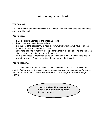## **Introducing a new book**

#### **The Purpose**

To allow the child to become familiar with the story, the plot, the words, the sentences and the writing style.

#### **You might . . .**

- draw the child's attention to the important ideas;
- discuss the pictures of the whole book;
- give the child the opportunity to hear the new words which he will have to quess from the pictures and language context;
- ask him to find one or more of the important words in the text after he has said what letter he would expect to see at the beginning;
- more experienced readers may be asked to talk about what they think the book is going to be about. Focus on the title, the author and the illustrator.

#### **You might say . . .**

 *"Let's have a look at the front cover of this new book. Can* y*ou find the title of the book? What do you think the story will be about*? *Can you see the name of the author and the illustrator? Let's have a look inside the book at the pictures before we get started."*

> **The child should know what the book is about before beginning to read the text***.*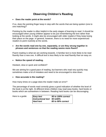## **Observing Children's Reading**

#### **Does the reader point at the words?**

If so, does the pointing finger keep in step with the words that are being spoken (one to one matching)?

Pointing by the reader is often helpful in the early stages of learning to read. It should be encouraged when young children appear to be just remembering the text rather than looking at the words. It might also be encouraged with older readers if they keep losing their place on the page. In general, however, there is no need for more experienced readers to point routinely at the words.

#### **Are the words read one by one, separately, or are they strung together in phrases and sentences so that the reading seems more fluent?**

Fluent reading is what we are working towards. A familiar text is more likely to be read fluently than a new one. A difficult text is less likely to be read fluently than an easy on.

#### **Notice the speed of reading.**

Hesitant, slow or quick and confident?

We are aiming for a good pace of reading, but learners who read very quickly may sometimes make a lot of mistakes and need to be encouraged to slow down.

#### **How accurate is the reading?**

How many times on a page does the reader make an error?

The percentage of words read correctly gives a good indication of whether the level of the book is at the right. At different times children may read easy books, hard books or books which are somewhere in between. Reading hard books can be discouraging.

Here is a guide: *Easy text 95 to 100% correct Instructional text 90 to94% Hard text 80 to 90% correct*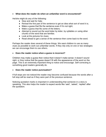#### **What does the reader do when an unfamiliar word is encountered?**

He/she might do any of the following:

- $\triangleleft$  Stop and wait for help;
- Reread the first part of the sentence to get an idea what sort of word it is;
- $\bullet$  Make a guess that fits the sentence even if it's not right;
- $\bullet$  Make a guess that fits some of the letters;
- Attempt to sound out the word letter by letter, by syllables or using other chunks of the word that are familiar;
- Look at the pictures for clues;
- $\triangle$  Read ahead to get a sense of the sentence then come back to the word.

Perhaps the reader does several of these things. We want children to use as many clues as possible to work out unfamiliar words. If they rely only on one or two strategies we can encourage them to use others*.*

#### **Does the reader notice when a guess is incorrect?**

Children may make a guess then notice that it doesn't make sense: it doesn't sound right; or they notice that the guess doesn't fit with the appearance of the word on the page. This is an extremely important thing to notice and encourage. Self-correcting is something good readers generally do.

#### **Does the reader notice punctuation?**

If full stops are not noticed the reader may become confused because the words after a full stop will be read as if they were part of the previous sentence.

Noticing quotation marks is important in understanding that someone in a story is speaking. This also helps the reader to expect words like 'said', 'asked', 'replied' after the quotation.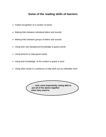## **Some of the reading skills of learners**

- Instant recognition of a number of words
- Making links between individual letters and sounds
- Making links between groups of letters and sounds
- Using their own background knowledge to guess words
- Using pictures to help guess words
- Using their knowledge of the context to guess a word
- Using other words in a sentence to help work out an unfamiliar word

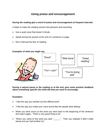## **Using praise and encouragement**

#### **During the reading give a word of praise and encouragement at frequent intervals**

It helps to make the reading session feel pleasant and rewarding

- Use a quiet voice that doesn't intrude.
- Speak during the pauses at the end of a sentence or page.
- Don't interrupt the flow of reading.

#### **Examples of what you might say**



**During a natural pause in the reading or at the end, give some positive feedback about something specific the child did that you want to encourage.**

#### **Examples:**

- "I like the way you worked out this difficult word".
- "I like the way you made your voice sound like the people were talking".
- When you were stuck on this word you went back to the beginning of the sentence and read it again. That's a very good thing to do".
- "When you came to this word you said " \_\_\_\_\_". Then you realised it didn't make sense and you had another try".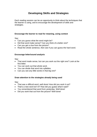## **Developing Skills and Strategies**

Each reading session can be an opportunity to think about the techniques that the learner is using, and to encourage the development of skills and strategies.

#### **Encourage the learner to read for meaning, using context**

Say:

- Can you guess what the word might be?
- Did that word make sense? Can you think of a better one?
- Can you get a clue from the picture?
- Read the whole sentence, then see if you can quess the hard word.

#### **Encourage letter/sound analysis**

Say:

- That word made sense, but can you work out the right one? Look at the first letter.
- You can work out that whole word.
- You can divide that word into syllables.
- Can you see any little words in that big one?

#### **Draw attention to the strategies already being used**

Say:

- That was a difficult word, well done! How did you work it out?
- That's a new word isn't it? How did you guess what it said?
- You remembered that word from yesterday. Well done!
- Did you work that out from the picture? Well done!